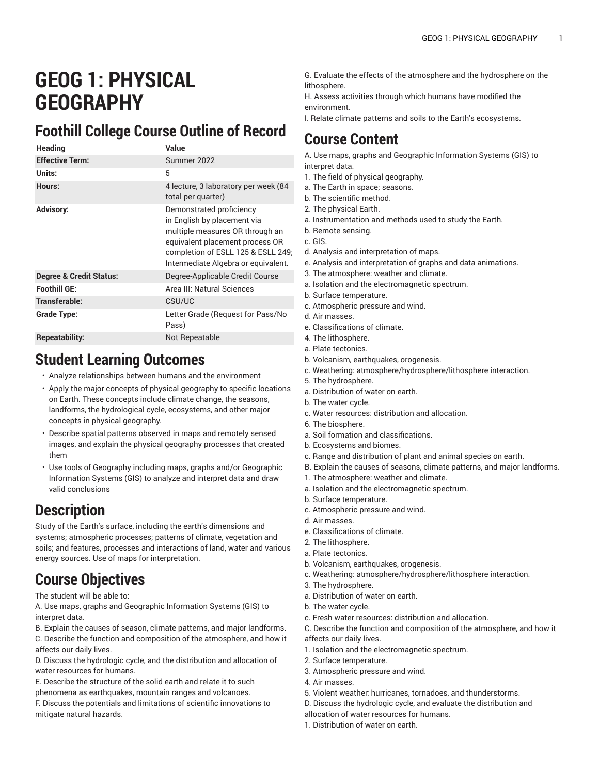# **GEOG 1: PHYSICAL GEOGRAPHY**

### **Foothill College Course Outline of Record**

| <b>Heading</b>                     | Value                                                                                                                                                                                                      |
|------------------------------------|------------------------------------------------------------------------------------------------------------------------------------------------------------------------------------------------------------|
| <b>Effective Term:</b>             | Summer 2022                                                                                                                                                                                                |
| Units:                             | 5                                                                                                                                                                                                          |
| Hours:                             | 4 lecture, 3 laboratory per week (84<br>total per quarter)                                                                                                                                                 |
| <b>Advisory:</b>                   | Demonstrated proficiency<br>in English by placement via<br>multiple measures OR through an<br>equivalent placement process OR<br>completion of ESLL 125 & ESLL 249;<br>Intermediate Algebra or equivalent. |
| <b>Degree &amp; Credit Status:</b> | Degree-Applicable Credit Course                                                                                                                                                                            |
| Foothill GE:                       | Area III: Natural Sciences                                                                                                                                                                                 |
| Transferable:                      | CSU/UC                                                                                                                                                                                                     |
| Grade Type:                        | Letter Grade (Request for Pass/No<br>Pass)                                                                                                                                                                 |
| Repeatability:                     | Not Repeatable                                                                                                                                                                                             |

#### **Student Learning Outcomes**

- Analyze relationships between humans and the environment
- Apply the major concepts of physical geography to specific locations on Earth. These concepts include climate change, the seasons, landforms, the hydrological cycle, ecosystems, and other major concepts in physical geography.
- Describe spatial patterns observed in maps and remotely sensed images, and explain the physical geography processes that created them
- Use tools of Geography including maps, graphs and/or Geographic Information Systems (GIS) to analyze and interpret data and draw valid conclusions

#### **Description**

Study of the Earth's surface, including the earth's dimensions and systems; atmospheric processes; patterns of climate, vegetation and soils; and features, processes and interactions of land, water and various energy sources. Use of maps for interpretation.

#### **Course Objectives**

The student will be able to:

A. Use maps, graphs and Geographic Information Systems (GIS) to interpret data.

B. Explain the causes of season, climate patterns, and major landforms. C. Describe the function and composition of the atmosphere, and how it affects our daily lives.

D. Discuss the hydrologic cycle, and the distribution and allocation of water resources for humans.

E. Describe the structure of the solid earth and relate it to such phenomena as earthquakes, mountain ranges and volcanoes.

F. Discuss the potentials and limitations of scientific innovations to mitigate natural hazards.

G. Evaluate the effects of the atmosphere and the hydrosphere on the lithosphere.

H. Assess activities through which humans have modified the environment.

I. Relate climate patterns and soils to the Earth's ecosystems.

#### **Course Content**

A. Use maps, graphs and Geographic Information Systems (GIS) to interpret data.

- 1. The field of physical geography.
- a. The Earth in space; seasons.
- b. The scientific method.
- 2. The physical Earth.
- a. Instrumentation and methods used to study the Earth.
- b. Remote sensing.

c. GIS.

- d. Analysis and interpretation of maps.
- e. Analysis and interpretation of graphs and data animations.
- 3. The atmosphere: weather and climate.
- a. Isolation and the electromagnetic spectrum.
- b. Surface temperature.
- c. Atmospheric pressure and wind.
- d. Air masses.
- e. Classifications of climate.
- 4. The lithosphere.
- a. Plate tectonics.
- b. Volcanism, earthquakes, orogenesis.
- c. Weathering: atmosphere/hydrosphere/lithosphere interaction.
- 5. The hydrosphere.
- a. Distribution of water on earth.
- b. The water cycle.
- c. Water resources: distribution and allocation.
- 6. The biosphere.
- a. Soil formation and classifications.
- b. Ecosystems and biomes.
- c. Range and distribution of plant and animal species on earth.
- B. Explain the causes of seasons, climate patterns, and major landforms.
- 1. The atmosphere: weather and climate.
- a. Isolation and the electromagnetic spectrum.
- b. Surface temperature.
- c. Atmospheric pressure and wind.
- d. Air masses.
- e. Classifications of climate.
- 2. The lithosphere.
- a. Plate tectonics.
- b. Volcanism, earthquakes, orogenesis.
- c. Weathering: atmosphere/hydrosphere/lithosphere interaction.
- 3. The hydrosphere.
- a. Distribution of water on earth.
- b. The water cycle.
- c. Fresh water resources: distribution and allocation.
- C. Describe the function and composition of the atmosphere, and how it affects our daily lives.
- 1. Isolation and the electromagnetic spectrum.
- 2. Surface temperature.
- 3. Atmospheric pressure and wind.
- 4. Air masses.
- 5. Violent weather: hurricanes, tornadoes, and thunderstorms.
- D. Discuss the hydrologic cycle, and evaluate the distribution and
- allocation of water resources for humans.
- 1. Distribution of water on earth.